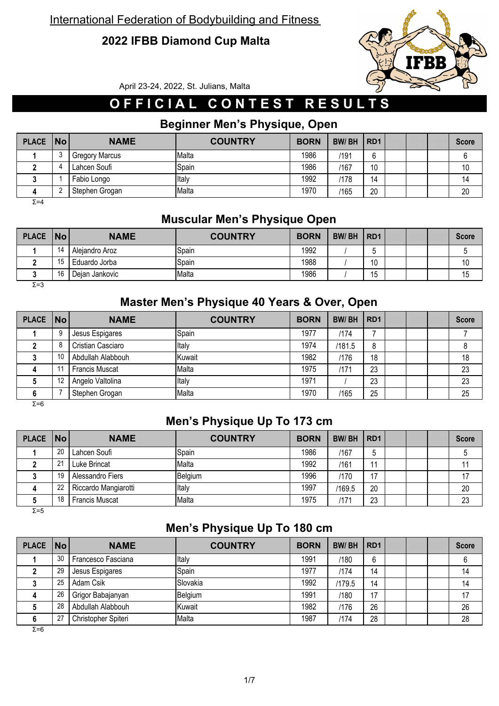### **2022 IFBB Diamond Cup Malta**



April 23-24, 2022, St. Julians, Malta

# **O F F I C I A L C O N T E S T R E S U L T S**

### **Beginner Men's Physique, Open**

| <b>PLACE</b> | $\overline{\mathsf{No}}$ | <b>NAME</b>           | <b>COUNTRY</b> | <b>BORN</b> | <b>BW/BH</b> | RD <sub>1</sub> |  | <b>Score</b> |
|--------------|--------------------------|-----------------------|----------------|-------------|--------------|-----------------|--|--------------|
|              |                          | <b>Gregory Marcus</b> | Malta          | 1986        | /191         | 6               |  |              |
|              | Д                        | Lahcen Soufi          | Spain          | 1986        | /167         | 10              |  | 10           |
|              |                          | Fabio Longo           | Italy          | 1992        | /178         | 14              |  | 14           |
|              |                          | Stephen Grogan        | Malta          | 1970        | /165         | 20              |  | 20           |

Σ=4

### **Muscular Men's Physique Open**

| PLACE   No |    | <b>NAME</b>    | <b>COUNTRY</b> | <b>BORN</b> | <b>BW/BH</b> | RD <sub>1</sub> |  | <b>Score</b> |
|------------|----|----------------|----------------|-------------|--------------|-----------------|--|--------------|
|            | 14 | Aleiandro Aroz | <b>S</b> pain  | 1992        |              |                 |  |              |
|            | 15 | Eduardo Jorba  | Spain          | 1988        |              | 10<br>ιU        |  | $\sqrt{2}$   |
|            | 16 | Deian Jankovic | Malta          | 1986        |              | . .<br>h<br>∪ו  |  | 15           |

 $Σ=3$ 

### **Master Men's Physique 40 Years & Over, Open**

| PLACE   No |    | <b>NAME</b>           | <b>COUNTRY</b> | <b>BORN</b> | <b>BW/BH</b> | RD <sub>1</sub> |  | <b>Score</b> |
|------------|----|-----------------------|----------------|-------------|--------------|-----------------|--|--------------|
|            | 9  | Jesus Espigares       | Spain          | 1977        | /174         |                 |  |              |
|            | 8  | Cristian Casciaro     | Italy          | 1974        | /181.5       | 8               |  |              |
|            | 10 | Abdullah Alabbouh     | Kuwait         | 1982        | /176         | 18              |  | 18           |
|            |    | <b>Francis Muscat</b> | Malta          | 1975        | /171         | 23              |  | 23           |
|            | 12 | Angelo Valtolina      | Italy          | 1971        |              | 23              |  | 23           |
|            |    | Stephen Grogan        | Malta          | 1970        | /165         | 25              |  | 25           |

 $\overline{Σ=6}$ 

#### **Men's Physique Up To 173 cm**

| PLACE   No |    | <b>NAME</b>           | <b>COUNTRY</b> | <b>BORN</b> | <b>BW/BH</b> | R <sub>D</sub> 1 |  | <b>Score</b> |
|------------|----|-----------------------|----------------|-------------|--------------|------------------|--|--------------|
|            | 20 | Lahcen Soufi          | Spain          | 1986        | /167         |                  |  |              |
|            | 21 | Luke Brincat          | Malta          | 1992        | /161         | 11               |  |              |
|            | 19 | Alessandro Fiers      | Belgium        | 1996        | /170         | 17               |  |              |
| 4          | າາ | Riccardo Mangiarotti  | Italy          | 1997        | /169.5       | 20               |  | 20           |
|            | 18 | <b>Francis Muscat</b> | Malta          | 1975        | /171         | 23               |  | 23           |

 $\overline{Σ}$ =5

### **Men's Physique Up To 180 cm**

| PLACE   No |    | <b>NAME</b>         | <b>COUNTRY</b> | <b>BORN</b> | <b>BW/BH</b> | RD <sub>1</sub> |  | <b>Score</b> |
|------------|----|---------------------|----------------|-------------|--------------|-----------------|--|--------------|
|            | 30 | Francesco Fasciana  | Italy          | 1991        | /180         | 6               |  |              |
|            | 29 | Jesus Espigares     | Spain          | 1977        | /174         | 14              |  | 14           |
|            | 25 | Adam Csik           | Slovakia       | 1992        | /179.5       | 14              |  | 14           |
| 4          | 26 | Grigor Babajanyan   | Belgium        | 1991        | /180         | 17              |  | 17           |
|            | 28 | Abdullah Alabbouh   | Kuwait         | 1982        | /176         | 26              |  | 26           |
| 6          | 27 | Christopher Spiteri | Malta          | 1987        | /174         | 28              |  | 28           |

 $\overline{Σ=6}$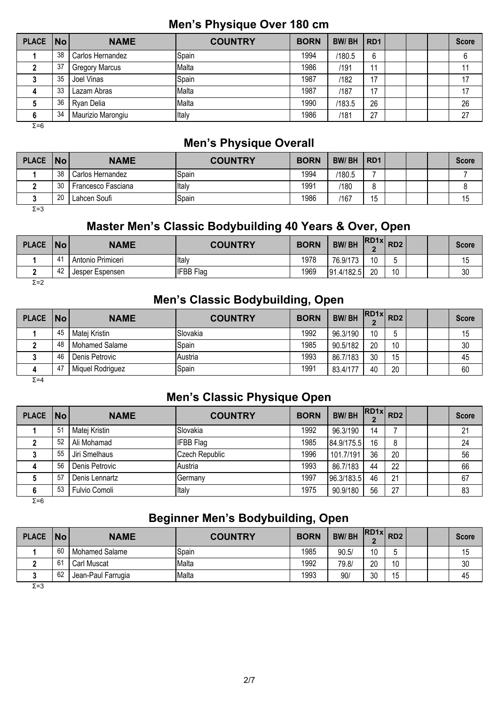#### **Men's Physique Over 180 cm**

| PLACE   No |    | <b>NAME</b>           | <b>COUNTRY</b> | <b>BORN</b> | <b>BW/BH</b> | RD <sub>1</sub> |  | <b>Score</b> |
|------------|----|-----------------------|----------------|-------------|--------------|-----------------|--|--------------|
|            | 38 | Carlos Hernandez      | Spain          | 1994        | /180.5       | 6               |  |              |
|            | 37 | <b>Gregory Marcus</b> | Malta          | 1986        | /191         |                 |  |              |
|            | 35 | Joel Vinas            | Spain          | 1987        | /182         | 17              |  | 17           |
| 4          | 33 | Lazam Abras           | Malta          | 1987        | /187         | 17              |  | 17           |
|            | 36 | Ryan Delia            | Malta          | 1990        | /183.5       | 26              |  | 26           |
| 6          | 34 | Maurizio Marongiu     | Italy          | 1986        | /181         | 27              |  | 27           |
| $\sim -c$  |    |                       |                |             |              |                 |  |              |

Σ=6

#### **Men's Physique Overall**

| <b>PLACE</b> | $\overline{\mathsf{No}}$ | <b>NAME</b>        | <b>COUNTRY</b> | <b>BORN</b> | <b>BW/BH</b> | RD <sub>1</sub> |  | <b>Score</b> |
|--------------|--------------------------|--------------------|----------------|-------------|--------------|-----------------|--|--------------|
|              | 38                       | Carlos Hernandez   | Spain          | 1994        | /180.5       |                 |  |              |
|              | 30                       | Francesco Fasciana | Italy          | 1991        | /180         | o               |  |              |
|              | 20                       | Lahcen Soufi       | Spain          | 1986        | /167         | . .<br>ֿ<br>ں ا |  | 15           |

 $Σ=3$ 

### **Master Men's Classic Bodybuilding 40 Years & Over, Open**

| <b>PLACE</b> | <b>No</b> | <b>NAME</b>       | <b>COUNTRY</b>   | <b>BORN</b> | <b>BW/BH</b>   | <b>IRD1xL</b> | RD <sub>2</sub> |  | <b>Score</b> |
|--------------|-----------|-------------------|------------------|-------------|----------------|---------------|-----------------|--|--------------|
|              |           | Antonio Primiceri | Italy            | 1978        | 76.9/173       | 10            |                 |  | ٥١           |
|              | 42        | Jesper Espensen   | <b>IFBB</b> Flag | 1969        | 91<br>.4/182.5 | 20            | 10              |  | 30           |

Σ=2

### **Men's Classic Bodybuilding, Open**

| <b>PLACE</b> | $\overline{\mathsf{No}}$ | <b>NAME</b>      | <b>COUNTRY</b> | <b>BORN</b> | <b>BW/BH</b> | $RDAx$ $RD2$ |    |  | <b>Score</b> |
|--------------|--------------------------|------------------|----------------|-------------|--------------|--------------|----|--|--------------|
|              | 45                       | Matej Kristin    | Slovakia       | 1992        | 96.3/190     | 10           |    |  | 15           |
|              | 48                       | Mohamed Salame   | Spain          | 1985        | 90.5/182     | 20           | 10 |  | 30           |
|              | 46                       | Denis Petrovic   | Austria        | 1993        | 86.7/183     | 30           | 15 |  | 45           |
| 4            | 47                       | Miquel Rodriguez | Spain          | 1991        | 83.4/177     | 40           | 20 |  | 60           |

 $Σ=4$ 

#### **Men's Classic Physique Open**

| <b>PLACE</b> | No | <b>NAME</b>    | <b>COUNTRY</b>        | <b>BORN</b> | <b>BW/BH</b> |    | $\overline{R}$ $\overline{R}$ $\overline{R}$ $\overline{R}$ $\overline{R}$ $\overline{R}$ $\overline{R}$ $\overline{R}$ $\overline{R}$ $\overline{R}$ $\overline{R}$ $\overline{R}$ $\overline{R}$ $\overline{R}$ $\overline{R}$ $\overline{R}$ $\overline{R}$ $\overline{R}$ $\overline{R}$ $\overline{R}$ $\overline{R}$ $\overline{R}$ $\overline{R}$ $\overline{R}$ $\overline{$ |  | <b>Score</b> |
|--------------|----|----------------|-----------------------|-------------|--------------|----|--------------------------------------------------------------------------------------------------------------------------------------------------------------------------------------------------------------------------------------------------------------------------------------------------------------------------------------------------------------------------------------|--|--------------|
|              | 51 | Matej Kristin  | Slovakia              | 1992        | 96.3/190     | 14 |                                                                                                                                                                                                                                                                                                                                                                                      |  | 21           |
|              | 52 | Ali Mohamad    | <b>IFBB Flag</b>      | 1985        | 84.9/175.5   | 16 | 8                                                                                                                                                                                                                                                                                                                                                                                    |  | 24           |
|              | 55 | Jiri Smelhaus  | <b>Czech Republic</b> | 1996        | 101.7/191    | 36 | 20                                                                                                                                                                                                                                                                                                                                                                                   |  | 56           |
| 4            | 56 | Denis Petrovic | Austria               | 1993        | 86.7/183     | 44 | 22                                                                                                                                                                                                                                                                                                                                                                                   |  | 66           |
|              | 57 | Denis Lennartz | Germany               | 1997        | 96.3/183.5   | 46 | 21                                                                                                                                                                                                                                                                                                                                                                                   |  | 67           |
| 6            | 53 | Fulvio Comoli  | Italy                 | 1975        | 90.9/180     | 56 | 27                                                                                                                                                                                                                                                                                                                                                                                   |  | 83           |

Σ=6

# **Beginner Men's Bodybuilding, Open**

| <b>PLACE</b> | <b>No</b> | <b>NAME</b>           | <b>COUNTRY</b> | <b>BORN</b> | <b>BW/BH</b> | $RDAx$ $RD2$ |    |  | <b>Score</b> |
|--------------|-----------|-----------------------|----------------|-------------|--------------|--------------|----|--|--------------|
|              | 60        | <b>Mohamed Salame</b> | Spain          | 1985        | 90.5/        | 10           | C  |  | 15           |
|              | 61        | Carl Muscat           | <b>Malta</b>   | 1992        | 79.8/        | 20           | 10 |  | 30           |
|              | 62        | Jean-Paul Farrugia    | Malta          | 1993        | 90/          | 30           | 15 |  | 45           |
| $\Sigma = 3$ |           |                       |                |             |              |              |    |  |              |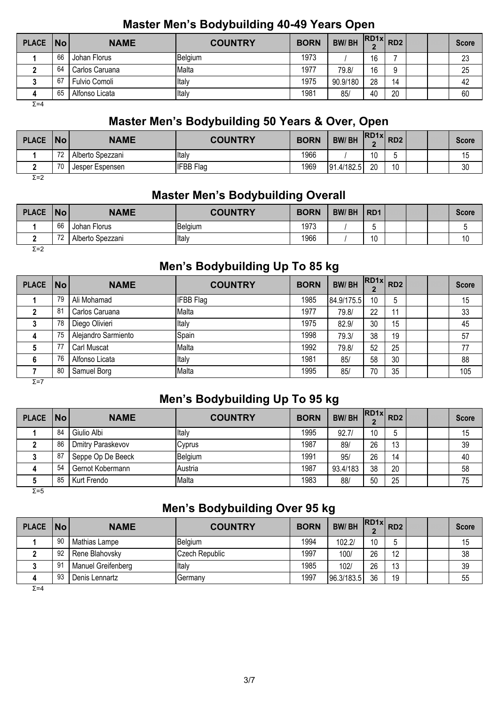#### **Master Men's Bodybuilding 40-49 Years Open**

| PLACE   No |    | <b>NAME</b>    | <b>COUNTRY</b> | <b>BORN</b> | <b>BW/BH</b> | $RDAx$ $RD2$ |    |  | <b>Score</b> |
|------------|----|----------------|----------------|-------------|--------------|--------------|----|--|--------------|
|            | 66 | Johan Florus   | Belgium        | 1973        |              | 16           |    |  | 23           |
|            | 64 | Carlos Caruana | Malta          | 1977        | 79.8/        | 16           | a  |  | 25           |
|            | 67 | Fulvio Comoli  | Italy          | 1975        | 90.9/180     | 28           | 14 |  | 42           |
|            | 65 | Alfonso Licata | Italy          | 1981        | 85           | 40           | 20 |  | 60           |

 $Σ=4$ 

### **Master Men's Bodybuilding 50 Years & Over, Open**

| <b>PLACE</b>  | No | <b>NAME</b>      | <b>COUNTRY</b>   | <b>BORN</b> | <b>BW/BH</b>    |    | $R$ D1x $R$ D2      |  | <b>Score</b> |
|---------------|----|------------------|------------------|-------------|-----------------|----|---------------------|--|--------------|
|               | 70 | Alberto Spezzani | Italy            | 1966        |                 | 10 |                     |  | ٥١           |
|               | 70 | Jesper Espensen  | <b>IFBB Flag</b> | 1969        | .4/182.5<br>191 | 20 | $10^{\circ}$<br>. U |  | 30           |
| $\sim$ $\sim$ |    |                  |                  |             |                 |    |                     |  |              |

Σ=2

### **Master Men's Bodybuilding Overall**

| <b>PLACE</b> | No                       | <b>NAME</b>      | <b>COUNTRY</b> | <b>BORN</b> | <b>BW/BH</b> | RD <sub>1</sub> |  | <b>Score</b> |
|--------------|--------------------------|------------------|----------------|-------------|--------------|-----------------|--|--------------|
|              | 66                       | Johan Florus     | Belgium        | 1973        |              | ັ               |  |              |
|              | $\overline{\phantom{a}}$ | Alberto Spezzani | Italy          | 1966        |              | 10              |  | 10           |
| $\Sigma = 2$ |                          |                  |                |             |              |                 |  |              |

# **Men's Bodybuilding Up To 85 kg**

| <b>PLACE</b> | No | <b>NAME</b>         | <b>COUNTRY</b>   | <b>BORN</b> | <b>BW/BH</b> | $\cdot$ $ RD1x $ $RD2$ |    |  | <b>Score</b> |
|--------------|----|---------------------|------------------|-------------|--------------|------------------------|----|--|--------------|
|              | 79 | Ali Mohamad         | <b>IFBB</b> Flag | 1985        | 84.9/175.5   | 10                     | 5  |  | 15           |
|              | 81 | Carlos Caruana      | Malta            | 1977        | 79.8/        | 22                     | 11 |  | 33           |
|              | 78 | Diego Olivieri      | Italy            | 1975        | 82.9/        | 30                     | 15 |  | 45           |
| 4            | 75 | Alejandro Sarmiento | Spain            | 1998        | 79.3/        | 38                     | 19 |  | 57           |
|              | 77 | <b>Carl Muscat</b>  | Malta            | 1992        | 79.8/        | 52                     | 25 |  | 77           |
| 6            | 76 | Alfonso Licata      | Italy            | 1981        | 85/          | 58                     | 30 |  | 88           |
|              | 80 | Samuel Borg         | Malta            | 1995        | 85/          | 70                     | 35 |  | 105          |

 $Σ=7$ 

# **Men's Bodybuilding Up To 95 kg**

| <b>PLACE</b> | No | <b>NAME</b>       | <b>COUNTRY</b> | <b>BORN</b> | <b>BW/BH</b> | $\left  \text{RD1x} \right $ RD2 |    |  | <b>Score</b> |
|--------------|----|-------------------|----------------|-------------|--------------|----------------------------------|----|--|--------------|
|              | 84 | Giulio Albi       | Italy          | 1995        | 92.7/        | 10                               |    |  | 15           |
|              | 86 | Dmitry Paraskevov | Cyprus         | 1987        | 89/          | 26                               | 13 |  | 39           |
|              | 87 | Seppe Op De Beeck | Belgium        | 1991        | 95/          | 26                               | 14 |  | 40           |
| 4            | 54 | Gernot Kobermann  | Austria        | 1987        | 93.4/183     | 38                               | 20 |  | 58           |
|              | 85 | Kurt Frendo       | Malta          | 1983        | 88/          | 50                               | 25 |  | 75           |

 $\overline{Σ}$ =5

# **Men's Bodybuilding Over 95 kg**

| PLACE No |     | <b>NAME</b>        | <b>COUNTRY</b> | <b>BORN</b> | <b>BW/BH</b> | $RDAx$ $RD2$ |    |  | <b>Score</b> |
|----------|-----|--------------------|----------------|-------------|--------------|--------------|----|--|--------------|
|          | 90  | Mathias Lampe      | Belgium        | 1994        | 102.2/       | 10           |    |  | 15           |
|          | 92  | Rene Blahovsky     | Czech Republic | 1997        | 100/         | 26           | 12 |  | 38           |
|          | -91 | Manuel Greifenberg | Italy          | 1985        | 102/         | 26           | 12 |  | 39           |
| 4        | 93  | Denis Lennartz     | Germany        | 1997        | 96.3/183.5   | 36           | 19 |  | 55           |

Σ=4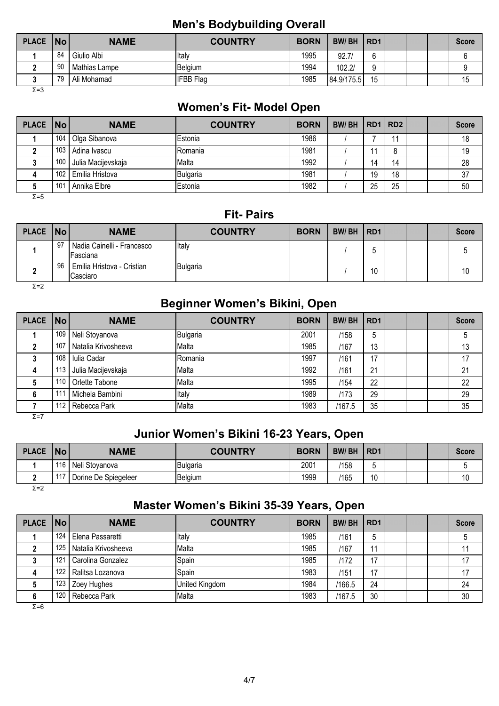### **Men's Bodybuilding Overall**

| PLACE   No |    | <b>NAME</b>   | <b>COUNTRY</b>   | <b>BORN</b> | <b>BW/BH</b> | RD <sub>1</sub> |  | <b>Score</b> |
|------------|----|---------------|------------------|-------------|--------------|-----------------|--|--------------|
|            | 84 | Giulio Albi   | Italy            | 1995        | 92.7         | $\sim$<br>L     |  |              |
|            | 90 | Mathias Lampe | Belgium          | 1994        | 102.27       | a               |  |              |
|            | 79 | Ali Mohamad   | <b>IFBB</b> Flag | 1985        | 84.9/175.5   | 15              |  | 15           |

 $\overline{Σ}$ =3

#### **Women's Fit- Model Open**

| PLACE   No |                 | <b>NAME</b>        | <b>COUNTRY</b>  | <b>BORN</b> | <b>BW/BH</b> | RD1 RD2 |    |  | <b>Score</b> |
|------------|-----------------|--------------------|-----------------|-------------|--------------|---------|----|--|--------------|
|            | 104             | Olga Sibanova      | <b>IEstonia</b> | 1986        |              |         |    |  | 18           |
|            | 103             | Adina Ivascu       | <b>IRomania</b> | 1981        |              |         |    |  | 19           |
|            | 100             | Julia Macijevskaja | Malta           | 1992        |              | 14      | 14 |  | 28           |
|            | 102             | Emilia Hristova    | Bulgaria        | 1981        |              | 19      | 18 |  | 37           |
|            | 10 <sup>1</sup> | Annika Elbre       | <b>IEstonia</b> | 1982        |              | 25      | 25 |  | 50           |

Σ=5

### **Fit- Pairs**

| PLACE   No |      | <b>NAME</b>                             | <b>COUNTRY</b> | <b>BORN</b> | <b>BW/BH</b> | RD <sub>1</sub> |  | <b>Score</b> |
|------------|------|-----------------------------------------|----------------|-------------|--------------|-----------------|--|--------------|
|            | - 97 | Nadia Cainelli - Francesco<br>IFasciana | Italy          |             |              |                 |  |              |
|            | 96   | Emilia Hristova - Cristian<br>Casciaro  | Bulgaria       |             |              | 10              |  | 10           |

Σ=2

# **Beginner Women's Bikini, Open**

| <b>PLACE</b> | $\overline{\mathsf{No}}$ | <b>NAME</b>         | <b>COUNTRY</b> | <b>BORN</b> | <b>BW/BH</b> | RD <sub>1</sub> |  | <b>Score</b> |
|--------------|--------------------------|---------------------|----------------|-------------|--------------|-----------------|--|--------------|
|              | 109                      | Neli Stoyanova      | Bulgaria       | 2001        | /158         | b               |  |              |
|              | 107                      | Natalia Krivosheeva | Malta          | 1985        | /167         | 13              |  | 13           |
|              | 108                      | Iulia Cadar         | Romania        | 1997        | /161         | 17              |  | 17           |
|              | 113                      | Julia Macijevskaja  | Malta          | 1992        | /161         | 21              |  | 21           |
|              | 110                      | Orlette Tabone      | Malta          | 1995        | /154         | 22              |  | 22           |
|              | 111                      | Michela Bambini     | Italy          | 1989        | /173         | 29              |  | 29           |
|              | 112                      | Rebecca Park        | Malta          | 1983        | /167.5       | 35              |  | 35           |

Σ=7

#### **Junior Women's Bikini 16-23 Years, Open**

| <b>PLACE</b> | No             | <b>NAME</b>          | <b>COUNTRY</b> | <b>BORN</b> | <b>BW/BH</b> | R <sub>D</sub> 1 |  | <b>Score</b> |
|--------------|----------------|----------------------|----------------|-------------|--------------|------------------|--|--------------|
|              | 116            | Neli Stoyanova       | Bulgaria       | 2001        | /158         |                  |  |              |
|              | $\overline{A}$ | Dorine De Spiegeleer | Belgium        | 1999        | /165         | 10               |  | 10           |
| Σ=2          |                |                      |                |             |              |                  |  |              |

### **Master Women's Bikini 35-39 Years, Open**

| <b>PLACE</b> | $\vert$ No $\vert$ | <b>NAME</b>         | <b>COUNTRY</b> | <b>BORN</b> | <b>BW/BH</b> | RD <sub>1</sub> |  | <b>Score</b> |
|--------------|--------------------|---------------------|----------------|-------------|--------------|-----------------|--|--------------|
|              | 124                | Elena Passaretti    | Italy          | 1985        | /161         | b               |  |              |
|              | 125                | Natalia Krivosheeva | Malta          | 1985        | /167         |                 |  |              |
|              | 121                | Carolina Gonzalez   | Spain          | 1985        | /172         | 17              |  | 17           |
| 4            | 122                | Ralitsa Lozanova    | Spain          | 1983        | /151         | 17              |  | 17           |
|              | 123                | Zoey Hughes         | United Kingdom | 1984        | /166.5       | 24              |  | 24           |
|              | 120                | Rebecca Park        | Malta          | 1983        | /167.5       | 30              |  | 30           |

 $\overline{Σ}$ =6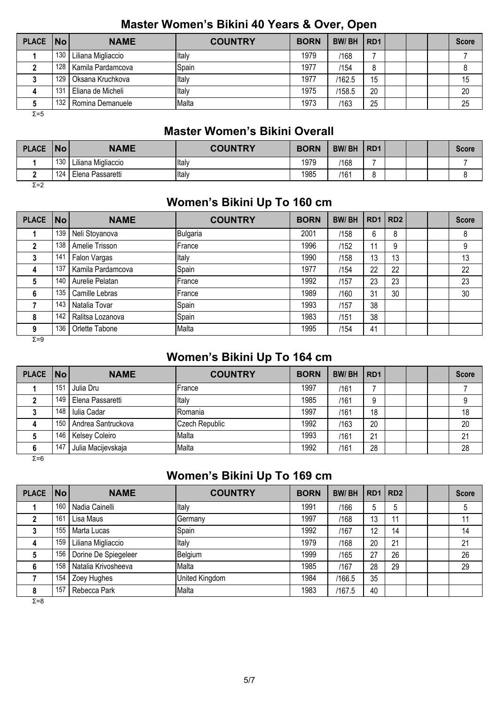#### **Master Women's Bikini 40 Years & Over, Open**

| PLACE   No |                 | <b>NAME</b>        | <b>COUNTRY</b> | <b>BORN</b> | <b>BW/BH</b> | R <sub>D</sub> 1 |  | <b>Score</b> |
|------------|-----------------|--------------------|----------------|-------------|--------------|------------------|--|--------------|
|            | 130             | Liliana Migliaccio | Italy          | 1979        | /168         |                  |  |              |
|            | 128             | Kamila Pardamcova  | Spain          | 1977        | /154         | 8                |  |              |
|            | 129             | Oksana Kruchkova   | Italy          | 1977        | /162.5       | 15               |  | 15           |
| 4          | 13 <sup>7</sup> | Eliana de Micheli  | Italy          | 1975        | /158.5       | 20               |  | 20           |
|            | 132             | Romina Demanuele   | Malta          | 1973        | /163         | 25               |  | 25           |
| Σ=5        |                 |                    |                |             |              |                  |  |              |

#### **Master Women's Bikini Overall**

| <b>PLACE</b> | <b>No</b> | <b>NAME</b>        | <b>COUNTRY</b> | <b>BORN</b> | <b>BW/BH</b> | RD <sub>1</sub> |  | <b>Score</b> |
|--------------|-----------|--------------------|----------------|-------------|--------------|-----------------|--|--------------|
|              | 130       | Liliana Migliaccio | Italy          | 1979        | /168         |                 |  |              |
|              | 124       | Elena Passaretti   | ltaly          | 1985        | /161         |                 |  |              |

Σ=2

# **Women's Bikini Up To 160 cm**

| <b>PLACE</b> | <b>No</b> | <b>NAME</b>       | <b>COUNTRY</b> | <b>BORN</b> | <b>BW/BH</b> | RD1   RD2 |    |  | <b>Score</b> |
|--------------|-----------|-------------------|----------------|-------------|--------------|-----------|----|--|--------------|
|              | 139       | Neli Stoyanova    | Bulgaria       | 2001        | /158         | 6         | 8  |  | 8            |
|              | 138       | Amelie Trisson    | <b>IFrance</b> | 1996        | /152         | 11        | 9  |  | 9            |
| 3            | 141       | Falon Vargas      | Italy          | 1990        | /158         | 13        | 13 |  | 13           |
| 4            | 137       | Kamila Pardamcova | Spain          | 1977        | /154         | 22        | 22 |  | 22           |
| 5            | 140       | Aurelie Pelatan   | <b>IFrance</b> | 1992        | /157         | 23        | 23 |  | 23           |
| 6            | 135       | Camille Lebras    | France         | 1989        | /160         | 31        | 30 |  | 30           |
|              | 143       | Natalia Tovar     | Spain          | 1993        | /157         | 38        |    |  |              |
| 8            | 142       | Ralitsa Lozanova  | Spain          | 1983        | /151         | 38        |    |  |              |
| 9            | 136       | Orlette Tabone    | Malta          | 1995        | /154         | 41        |    |  |              |
| $\Sigma = 9$ |           |                   |                |             |              |           |    |  |              |

# **Women's Bikini Up To 164 cm**

| PLACE   No |     | <b>NAME</b>        | <b>COUNTRY</b> | <b>BORN</b> | <b>BW/BH</b> | R <sub>D</sub> 1 |  | <b>Score</b> |
|------------|-----|--------------------|----------------|-------------|--------------|------------------|--|--------------|
|            | 151 | Julia Dru          | France         | 1997        | /161         |                  |  |              |
|            | 149 | Elena Passaretti   | Italy          | 1985        | /161         | 9                |  |              |
|            | 148 | Iulia Cadar        | Romania        | 1997        | /161         | 18               |  | 18           |
| 4          | 150 | Andrea Santruckova | Czech Republic | 1992        | /163         | 20               |  | 20           |
|            | 146 | Kelsey Coleiro     | Malta          | 1993        | /161         | 21               |  | 21           |
|            | 147 | Julia Macijevskaja | Malta          | 1992        | /161         | 28               |  | 28           |

#### $\overline{Σ=6}$

# **Women's Bikini Up To 169 cm**

| PLACE No     |     | <b>NAME</b>          | <b>COUNTRY</b> | <b>BORN</b> | <b>BW/BH</b> | RD <sub>1</sub> | RD <sub>2</sub> |  | <b>Score</b> |
|--------------|-----|----------------------|----------------|-------------|--------------|-----------------|-----------------|--|--------------|
|              | 160 | Nadia Cainelli       | Italy          | 1991        | /166         | 5               | 5               |  | 5            |
|              | 161 | Lisa Maus            | Germany        | 1997        | /168         | 13              | 11              |  | 11           |
| 3            | 155 | Marta Lucas          | Spain          | 1992        | /167         | 12              | 14              |  | 14           |
| 4            | 159 | Liliana Migliaccio   | Italy          | 1979        | /168         | 20              | 21              |  | 21           |
| 5            | 156 | Dorine De Spiegeleer | Belgium        | 1999        | /165         | 27              | 26              |  | 26           |
| 6            | 158 | Natalia Krivosheeva  | Malta          | 1985        | /167         | 28              | 29              |  | 29           |
|              | 154 | Zoey Hughes          | United Kingdom | 1984        | /166.5       | 35              |                 |  |              |
| 8            | 157 | Rebecca Park         | Malta          | 1983        | /167.5       | 40              |                 |  |              |
| $\Sigma = 8$ |     |                      |                |             |              |                 |                 |  |              |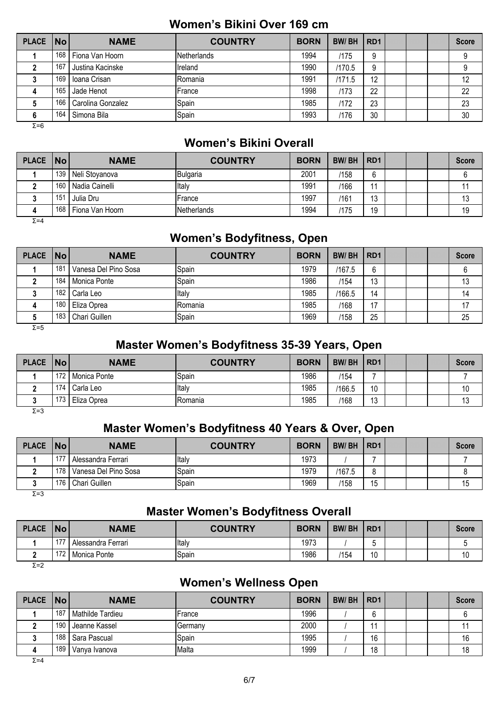#### **Women's Bikini Over 169 cm**

| PLACE   No |     | <b>NAME</b>       | <b>COUNTRY</b> | <b>BORN</b> | <b>BW/BH</b> | RD <sub>1</sub> |  | <b>Score</b> |
|------------|-----|-------------------|----------------|-------------|--------------|-----------------|--|--------------|
|            | 168 | Fiona Van Hoorn   | Netherlands    | 1994        | /175         | 9               |  |              |
|            | 167 | Justina Kacinske  | Ireland        | 1990        | /170.5       | 9               |  |              |
|            | 169 | Ioana Crisan      | Romania        | 1991        | /171.5       | 12              |  | 12           |
| 4          | 165 | Jade Henot        | France         | 1998        | /173         | 22              |  | 22           |
|            | 166 | Carolina Gonzalez | Spain          | 1985        | /172         | 23              |  | 23           |
| 6          | 164 | Simona Bila       | Spain          | 1993        | /176         | 30              |  | 30           |
| $S-T$      |     |                   |                |             |              |                 |  |              |

Σ=6

### **Women's Bikini Overall**

| <b>PLACE</b> | $\overline{\mathsf{No}}$ | <b>NAME</b>     | <b>COUNTRY</b>  | <b>BORN</b> | <b>BW/BH</b> | RD <sub>1</sub> |  | <b>Score</b> |
|--------------|--------------------------|-----------------|-----------------|-------------|--------------|-----------------|--|--------------|
|              | 139                      | Neli Stovanova  | <b>Bulgaria</b> | 2001        | /158         | 6               |  |              |
|              | 160                      | Nadia Cainelli  | Italy           | 1991        | /166         | 11              |  |              |
|              | 151                      | Julia Dru       | France          | 1997        | /161         | 13              |  | 13           |
|              | 168                      | Fiona Van Hoorn | Netherlands     | 1994        | /175         | 19              |  | 19           |
| $\Sigma = 4$ |                          |                 |                 |             |              |                 |  |              |

### **Women's Bodyfitness, Open**

| PLACE No |     | <b>NAME</b>          | <b>COUNTRY</b> | <b>BORN</b> | <b>BW/BH</b> | RD <sub>1</sub> |  | <b>Score</b> |
|----------|-----|----------------------|----------------|-------------|--------------|-----------------|--|--------------|
|          | 181 | Vanesa Del Pino Sosa | Spain          | 1979        | /167.5       | 6               |  |              |
|          | 184 | Monica Ponte         | Spain          | 1986        | /154         | 13              |  | 13           |
|          | 182 | Carla Leo            | Italy          | 1985        | /166.5       | 14              |  | 14           |
| 4        | 180 | Eliza Oprea          | Romania        | 1985        | /168         | 17              |  | 17           |
|          | 183 | Chari Guillen        | Spain          | 1969        | /158         | 25              |  | 25           |

 $\overline{Σ}$ =5

### **Master Women's Bodyfitness 35-39 Years, Open**

| <b>PLACE</b>  | No  | <b>NAME</b>  | <b>COUNTRY</b> | <b>BORN</b> | <b>BW/BH</b> | RD <sub>1</sub> |  | <b>Score</b>                        |
|---------------|-----|--------------|----------------|-------------|--------------|-----------------|--|-------------------------------------|
|               | 172 | Monica Ponte | Spain          | 1986        | /154         |                 |  |                                     |
|               | 174 | Carla Leo    | Italy          | 1985        | 166.5        | 10              |  | $\overline{A}$ $\overline{A}$<br>١U |
|               | 173 | Eliza Oprea  | Romania        | 1985        | /168         | $\Delta$<br>ں ا |  | ١J                                  |
| $\sim$ $\sim$ |     |              |                |             |              |                 |  |                                     |

Σ=3

### **Master Women's Bodyfitness 40 Years & Over, Open**

| <b>PLACE</b> | No               | <b>NAME</b>          | <b>COUNTRY</b> | <b>BORN</b> | <b>BW/BH</b> | R <sub>D</sub> 1 |  | <b>Score</b> |
|--------------|------------------|----------------------|----------------|-------------|--------------|------------------|--|--------------|
|              | 177              | Alessandra Ferrari   | Italy          | 1973        |              |                  |  |              |
|              | 178 <sub>1</sub> | Vanesa Del Pino Sosa | Spain          | 1979        | /167.5       | o                |  |              |
|              | 176              | Chari Guillen        | Spain          | 1969        | /158         | 15               |  | 15           |

 $Σ=3$ 

# **Master Women's Bodyfitness Overall**

| <b>PLACE</b> | <b>No</b> | <b>NAME</b>        | <b>COUNTRY</b> | <b>BORN</b> | <b>BW/BH</b> | RD <sub>1</sub> |  | Score |
|--------------|-----------|--------------------|----------------|-------------|--------------|-----------------|--|-------|
|              | 177       | Alessandra Ferrari | Italy          | 1973        |              |                 |  |       |
|              | 172       | Monica Ponte       | Spain          | 1986        | 1154         | 10              |  | 10    |
| $ -$         |           |                    |                |             |              |                 |  |       |

 $\overline{Σ}$ =2

#### **Women's Wellness Open**

| PLACE   No |       | <b>NAME</b>      | <b>COUNTRY</b> | <b>BORN</b> | <b>BW/BH</b> | RD <sub>1</sub> |  | <b>Score</b> |
|------------|-------|------------------|----------------|-------------|--------------|-----------------|--|--------------|
|            | 187   | Mathilde Tardieu | France         | 1996        |              |                 |  |              |
|            | 190   | Jeanne Kassel    | Germany        | 2000        |              |                 |  |              |
|            | 188 I | Sara Pascual     | Spain          | 1995        |              | 16              |  | 16           |
|            | 189   | Vanva Ivanova    | Malta          | 1999        |              | 18              |  | 18           |

 $Σ=4$